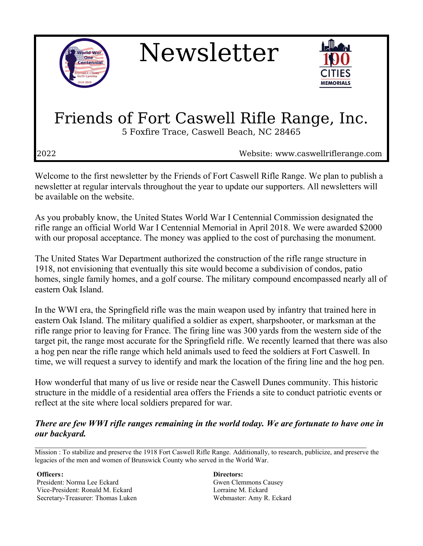

Newsletter



# Friends of Fort Caswell Rifle Range, Inc.

5 Foxfire Trace, Caswell Beach, NC 28465

2022 Website: www.caswellriflerange.com

Welcome to the first newsletter by the Friends of Fort Caswell Rifle Range. We plan to publish a newsletter at regular intervals throughout the year to update our supporters. All newsletters will be available on the website.

As you probably know, the United States World War I Centennial Commission designated the rifle range an official World War I Centennial Memorial in April 2018. We were awarded \$2000 with our proposal acceptance. The money was applied to the cost of purchasing the monument.

The United States War Department authorized the construction of the rifle range structure in 1918, not envisioning that eventually this site would become a subdivision of condos, patio homes, single family homes, and a golf course. The military compound encompassed nearly all of eastern Oak Island.

In the WWI era, the Springfield rifle was the main weapon used by infantry that trained here in eastern Oak Island. The military qualified a soldier as expert, sharpshooter, or marksman at the rifle range prior to leaving for France. The firing line was 300 yards from the western side of the target pit, the range most accurate for the Springfield rifle. We recently learned that there was also a hog pen near the rifle range which held animals used to feed the soldiers at Fort Caswell. In time, we will request a survey to identify and mark the location of the firing line and the hog pen.

How wonderful that many of us live or reside near the Caswell Dunes community. This historic structure in the middle of a residential area offers the Friends a site to conduct patriotic events or reflect at the site where local soldiers prepared for war.

#### *There are few WWI rifle ranges remaining in the world today. We are fortunate to have one in our backyard.*

Mission : To stabilize and preserve the 1918 Fort Caswell Rifle Range. Additionally, to research, publicize, and preserve the legacies of the men and women of Brunswick County who served in the World War.

**Officers:** President: Norma Lee Eckard Vice-President: Ronald M. Eckard Secretary-Treasurer: Thomas Luken **Directors:** Gwen Clemmons Causey Lorraine M. Eckard Webmaster: Amy R. Eckard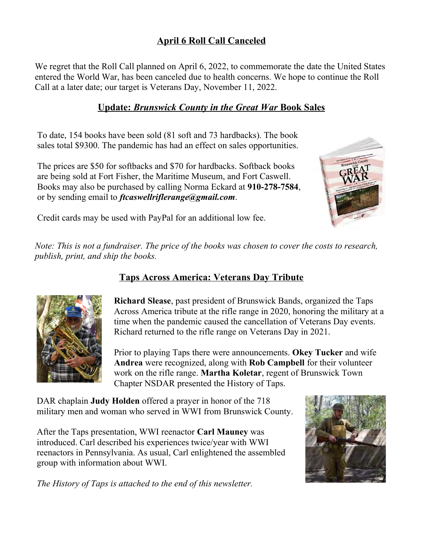## **April 6 Roll Call Canceled**

We regret that the Roll Call planned on April 6, 2022, to commemorate the date the United States entered the World War, has been canceled due to health concerns. We hope to continue the Roll Call at a later date; our target is Veterans Day, November 11, 2022.

### **Update:** *Brunswick County in the Great War* **Book Sales**

To date, 154 books have been sold (81 soft and 73 hardbacks). The book sales total \$9300. The pandemic has had an effect on sales opportunities.

The prices are \$50 for softbacks and \$70 for hardbacks. Softback books are being sold at Fort Fisher, the Maritime Museum, and Fort Caswell. Books may also be purchased by calling Norma Eckard at **910-278-7584**, or by sending email to *ftcaswellriflerange@gmail.com*.



Credit cards may be used with PayPal for an additional low fee.

*Note: This is not a fundraiser. The price of the books was chosen to cover the costs to research, publish, print, and ship the books.* 

## **Taps Across America: Veterans Day Tribute**



**Richard Slease**, past president of Brunswick Bands, organized the Taps Across America tribute at the rifle range in 2020, honoring the military at a time when the pandemic caused the cancellation of Veterans Day events. Richard returned to the rifle range on Veterans Day in 2021.

Prior to playing Taps there were announcements. **Okey Tucker** and wife **Andrea** were recognized, along with **Rob Campbell** for their volunteer work on the rifle range. **Martha Koletar**, regent of Brunswick Town Chapter NSDAR presented the History of Taps.

DAR chaplain **Judy Holden** offered a prayer in honor of the 718 military men and woman who served in WWI from Brunswick County.

After the Taps presentation, WWI reenactor **Carl Mauney** was introduced. Carl described his experiences twice/year with WWI reenactors in Pennsylvania. As usual, Carl enlightened the assembled group with information about WWI.

*The History of Taps is attached to the end of this newsletter.*

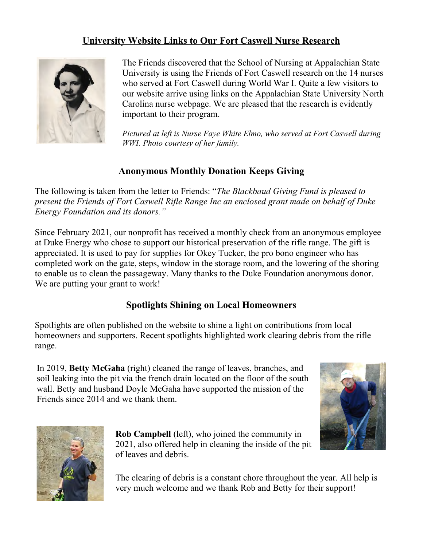## **University Website Links to Our Fort Caswell Nurse Research**



The Friends discovered that the School of Nursing at Appalachian State University is using the Friends of Fort Caswell research on the 14 nurses who served at Fort Caswell during World War I. Quite a few visitors to our website arrive using links on the Appalachian State University North Carolina nurse webpage. We are pleased that the research is evidently important to their program.

*Pictured at left is Nurse Faye White Elmo, who served at Fort Caswell during WWI. Photo courtesy of her family.*

## **Anonymous Monthly Donation Keeps Giving**

The following is taken from the letter to Friends: "*The Blackbaud Giving Fund is pleased to present the Friends of Fort Caswell Rifle Range Inc an enclosed grant made on behalf of Duke Energy Foundation and its donors."*

Since February 2021, our nonprofit has received a monthly check from an anonymous employee at Duke Energy who chose to support our historical preservation of the rifle range. The gift is appreciated. It is used to pay for supplies for Okey Tucker, the pro bono engineer who has completed work on the gate, steps, window in the storage room, and the lowering of the shoring to enable us to clean the passageway. Many thanks to the Duke Foundation anonymous donor. We are putting your grant to work!

### **Spotlights Shining on Local Homeowners**

Spotlights are often published on the website to shine a light on contributions from local homeowners and supporters. Recent spotlights highlighted work clearing debris from the rifle range.

In 2019, **Betty McGaha** (right) cleaned the range of leaves, branches, and soil leaking into the pit via the french drain located on the floor of the south wall. Betty and husband Doyle McGaha have supported the mission of the Friends since 2014 and we thank them.





**Rob Campbell** (left), who joined the community in 2021, also offered help in cleaning the inside of the pit of leaves and debris.

The clearing of debris is a constant chore throughout the year. All help is very much welcome and we thank Rob and Betty for their support!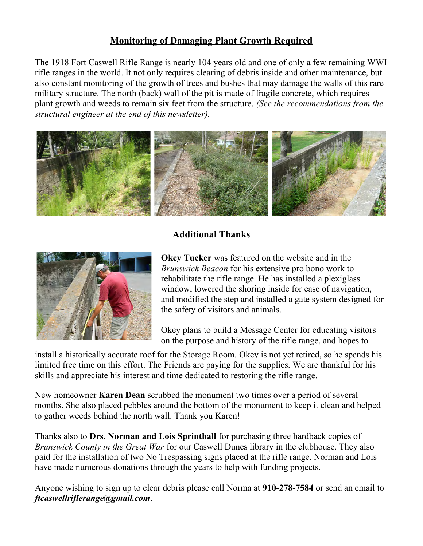## **Monitoring of Damaging Plant Growth Required**

The 1918 Fort Caswell Rifle Range is nearly 104 years old and one of only a few remaining WWI rifle ranges in the world. It not only requires clearing of debris inside and other maintenance, but also constant monitoring of the growth of trees and bushes that may damage the walls of this rare military structure. The north (back) wall of the pit is made of fragile concrete, which requires plant growth and weeds to remain six feet from the structure. *(See the recommendations from the structural engineer at the end of this newsletter).*



## **Additional Thanks**



**Okey Tucker** was featured on the website and in the *Brunswick Beacon* for his extensive pro bono work to rehabilitate the rifle range. He has installed a plexiglass window, lowered the shoring inside for ease of navigation, and modified the step and installed a gate system designed for the safety of visitors and animals.

Okey plans to build a Message Center for educating visitors on the purpose and history of the rifle range, and hopes to

install a historically accurate roof for the Storage Room. Okey is not yet retired, so he spends his limited free time on this effort. The Friends are paying for the supplies. We are thankful for his skills and appreciate his interest and time dedicated to restoring the rifle range.

New homeowner **Karen Dean** scrubbed the monument two times over a period of several months. She also placed pebbles around the bottom of the monument to keep it clean and helped to gather weeds behind the north wall. Thank you Karen!

Thanks also to **Drs. Norman and Lois Sprinthall** for purchasing three hardback copies of *Brunswick County in the Great War* for our Caswell Dunes library in the clubhouse. They also paid for the installation of two No Trespassing signs placed at the rifle range. Norman and Lois have made numerous donations through the years to help with funding projects.

Anyone wishing to sign up to clear debris please call Norma at **910-278-7584** or send an email to *ftcaswellriflerange@gmail.com*.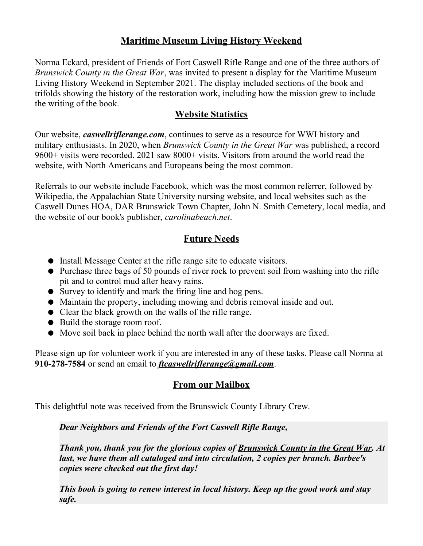## **Maritime Museum Living History Weekend**

Norma Eckard, president of Friends of Fort Caswell Rifle Range and one of the three authors of *Brunswick County in the Great War*, was invited to present a display for the Maritime Museum Living History Weekend in September 2021. The display included sections of the book and trifolds showing the history of the restoration work, including how the mission grew to include the writing of the book.

#### **Website Statistics**

Our website, *caswellriflerange.com*, continues to serve as a resource for WWI history and military enthusiasts. In 2020, when *Brunswick County in the Great War* was published, a record 9600+ visits were recorded. 2021 saw 8000+ visits. Visitors from around the world read the website, with North Americans and Europeans being the most common.

Referrals to our website include Facebook, which was the most common referrer, followed by Wikipedia, the Appalachian State University nursing website, and local websites such as the Caswell Dunes HOA, DAR Brunswick Town Chapter, John N. Smith Cemetery, local media, and the website of our book's publisher, *carolinabeach.net*.

### **Future Needs**

- Install Message Center at the rifle range site to educate visitors.
- Purchase three bags of 50 pounds of river rock to prevent soil from washing into the rifle pit and to control mud after heavy rains.
- Survey to identify and mark the firing line and hog pens.
- Maintain the property, including mowing and debris removal inside and out.
- Clear the black growth on the walls of the rifle range.
- Build the storage room roof.
- Move soil back in place behind the north wall after the doorways are fixed.

Please sign up for volunteer work if you are interested in any of these tasks. Please call Norma at **910-278-7584** or send an email to *[ftcaswellriflerange@gmail.com](mailto:ftcaswellriflerange@gmail.com)*.

## **From our Mailbox**

This delightful note was received from the Brunswick County Library Crew.

*Dear Neighbors and Friends of the Fort Caswell Rifle Range,*

*Thank you, thank you for the glorious copies of Brunswick County in the Great War. At last, we have them all cataloged and into circulation, 2 copies per branch. Barbee's copies were checked out the first day!* 

*This book is going to renew interest in local history. Keep up the good work and stay safe.*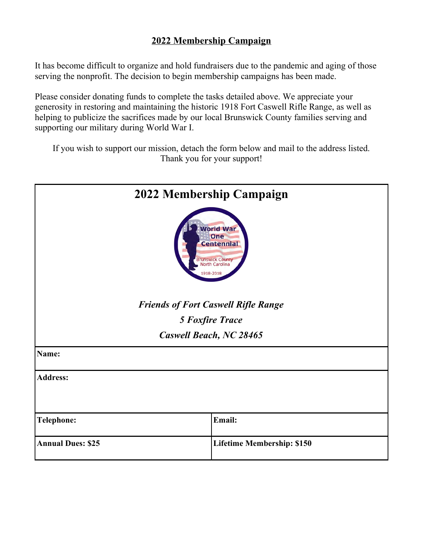## **2022 Membership Campaign**

It has become difficult to organize and hold fundraisers due to the pandemic and aging of those serving the nonprofit. The decision to begin membership campaigns has been made.

Please consider donating funds to complete the tasks detailed above. We appreciate your generosity in restoring and maintaining the historic 1918 Fort Caswell Rifle Range, as well as helping to publicize the sacrifices made by our local Brunswick County families serving and supporting our military during World War I.

If you wish to support our mission, detach the form below and mail to the address listed. Thank you for your support!

| 2022 Membership Campaign                                                                               |                                   |
|--------------------------------------------------------------------------------------------------------|-----------------------------------|
| <b>World War</b><br>One<br><b>Centennial</b><br><b>Brunswick County</b><br>North Carolina<br>1918-2018 |                                   |
| <b>Friends of Fort Caswell Rifle Range</b>                                                             |                                   |
| <b>5 Foxfire Trace</b>                                                                                 |                                   |
| <b>Caswell Beach, NC 28465</b>                                                                         |                                   |
| Name:                                                                                                  |                                   |
| <b>Address:</b>                                                                                        |                                   |
|                                                                                                        |                                   |
| <b>Telephone:</b>                                                                                      | Email:                            |
| <b>Annual Dues: \$25</b>                                                                               | <b>Lifetime Membership: \$150</b> |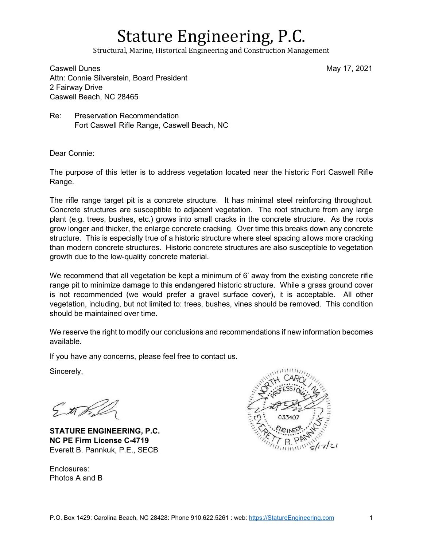## Stature Engineering, P.C.

Structural, Marine, Historical Engineering and Construction Management

Caswell Dunes May 17, 2021 Attn: Connie Silverstein, Board President 2 Fairway Drive Caswell Beach, NC 28465

Re: Preservation Recommendation Fort Caswell Rifle Range, Caswell Beach, NC

Dear Connie:

The purpose of this letter is to address vegetation located near the historic Fort Caswell Rifle Range.

The rifle range target pit is a concrete structure. It has minimal steel reinforcing throughout. Concrete structures are susceptible to adjacent vegetation. The root structure from any large plant (e.g. trees, bushes, etc.) grows into small cracks in the concrete structure. As the roots grow longer and thicker, the enlarge concrete cracking. Over time this breaks down any concrete structure. This is especially true of a historic structure where steel spacing allows more cracking than modern concrete structures. Historic concrete structures are also susceptible to vegetation growth due to the low-quality concrete material.

We recommend that all vegetation be kept a minimum of 6' away from the existing concrete rifle range pit to minimize damage to this endangered historic structure. While a grass ground cover is not recommended (we would prefer a gravel surface cover), it is acceptable. All other vegetation, including, but not limited to: trees, bushes, vines should be removed. This condition should be maintained over time.

We reserve the right to modify our conclusions and recommendations if new information becomes available.

If you have any concerns, please feel free to contact us.

Sincerely,

EtTe

**STATURE ENGINEERING, P.C. NC PE Firm License C-4719**  Everett B. Pannkuk, P.E., SECB

Enclosures: Photos A and B

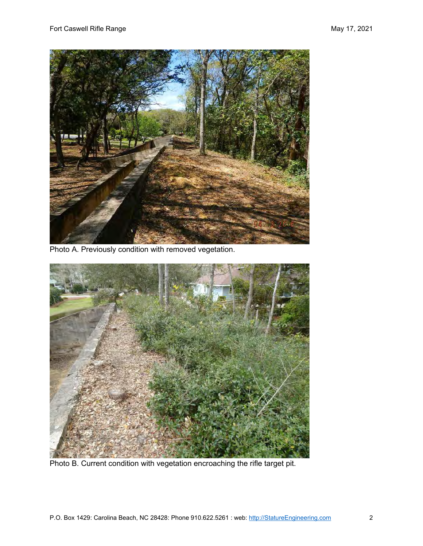

Photo A. Previously condition with removed vegetation.



Photo B. Current condition with vegetation encroaching the rifle target pit.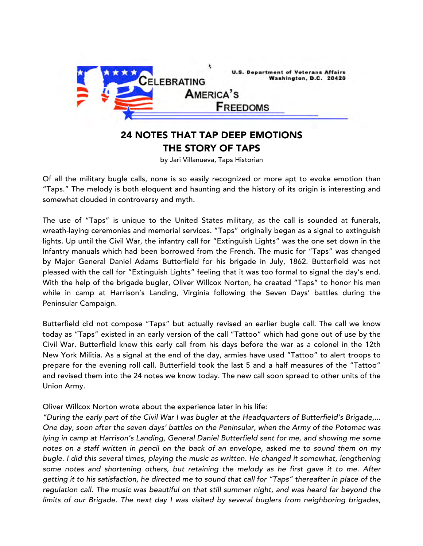

## 24 NOTES THAT TAP DEEP EMOTIONS THE STORY OF TAPS

by Jari Villanueva, Taps Historian

 Of all the military bugle calls, none is so easily recognized or more apt to evoke emotion than "Taps." The melody is both eloquent and haunting and the history of its origin is interesting and somewhat clouded in controversy and myth.

 The use of "Taps" is unique to the United States military, as the call is sounded at funerals, wreath-laying ceremonies and memorial services. "Taps" originally began as a signal to extinguish lights. Up until the Civil War, the infantry call for "Extinguish Lights" was the one set down in the Infantry manuals which had been borrowed from the French. The music for "Taps" was changed by Major General Daniel Adams Butterfield for his brigade in July, 1862. Butterfield was not pleased with the call for "Extinguish Lights" feeling that it was too formal to signal the day's end. With the help of the brigade bugler, Oliver Willcox Norton, he created "Taps" to honor his men while in camp at Harrison's Landing, Virginia following the Seven Days' battles during the Peninsular Campaign.

 Butterfield did not compose "Taps" but actually revised an earlier bugle call. The call we know today as "Taps" existed in an early version of the call "Tattoo" which had gone out of use by the Civil War. Butterfield knew this early call from his days before the war as a colonel in the 12th New York Militia. As a signal at the end of the day, armies have used "Tattoo" to alert troops to prepare for the evening roll call. Butterfield took the last 5 and a half measures of the "Tattoo" and revised them into the 24 notes we know today. The new call soon spread to other units of the Union Army.

Oliver Willcox Norton wrote about the experience later in his life:

 *"During the early part of the Civil War I was bugler at the Headquarters of Butterfield's Brigade,... One day, soon after the seven days' battles on the Peninsular, when the Army of the Potomac was lying in camp at Harrison's Landing, General Daniel Butterfield sent for me, and showing me some notes on a staff written in pencil on the back of an envelope, asked me to sound them on my bugle. I did this several times, playing the music as written. He changed it somewhat, lengthening some notes and shortening others, but retaining the melody as he first gave it to me. After getting it to his satisfaction, he directed me to sound that call for "Taps" thereafter in place of the regulation call. The music was beautiful on that still summer night, and was heard far beyond the limits of our Brigade. The next day I was visited by several buglers from neighboring brigades,*